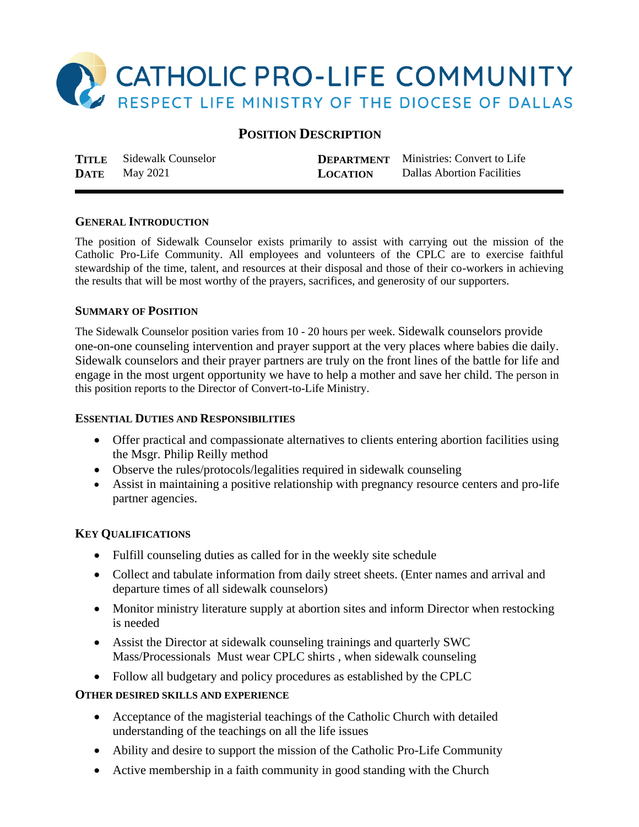

# **POSITION DESCRIPTION**

**TITLE** Sidewalk Counselor **DEPARTMENT** Ministries: Convert to Life **DATE** May 2021 **LOCATION** Dallas Abortion Facilities

# **GENERAL INTRODUCTION**

The position of Sidewalk Counselor exists primarily to assist with carrying out the mission of the Catholic Pro-Life Community. All employees and volunteers of the CPLC are to exercise faithful stewardship of the time, talent, and resources at their disposal and those of their co-workers in achieving the results that will be most worthy of the prayers, sacrifices, and generosity of our supporters.

#### **SUMMARY OF POSITION**

The Sidewalk Counselor position varies from 10 - 20 hours per week. Sidewalk counselors provide one-on-one counseling intervention and prayer support at the very places where babies die daily. Sidewalk counselors and their prayer partners are truly on the front lines of the battle for life and engage in the most urgent opportunity we have to help a mother and save her child. The person in this position reports to the Director of Convert-to-Life Ministry.

### **ESSENTIAL DUTIES AND RESPONSIBILITIES**

- Offer practical and compassionate alternatives to clients entering abortion facilities using the Msgr. Philip Reilly method
- Observe the rules/protocols/legalities required in sidewalk counseling
- Assist in maintaining a positive relationship with pregnancy resource centers and pro-life partner agencies.

# **KEY QUALIFICATIONS**

- Fulfill counseling duties as called for in the weekly site schedule
- Collect and tabulate information from daily street sheets. (Enter names and arrival and departure times of all sidewalk counselors)
- Monitor ministry literature supply at abortion sites and inform Director when restocking is needed
- Assist the Director at sidewalk counseling trainings and quarterly SWC Mass/Processionals Must wear CPLC shirts , when sidewalk counseling
- Follow all budgetary and policy procedures as established by the CPLC

# **OTHER DESIRED SKILLS AND EXPERIENCE**

- Acceptance of the magisterial teachings of the Catholic Church with detailed understanding of the teachings on all the life issues
- Ability and desire to support the mission of the Catholic Pro-Life Community
- Active membership in a faith community in good standing with the Church